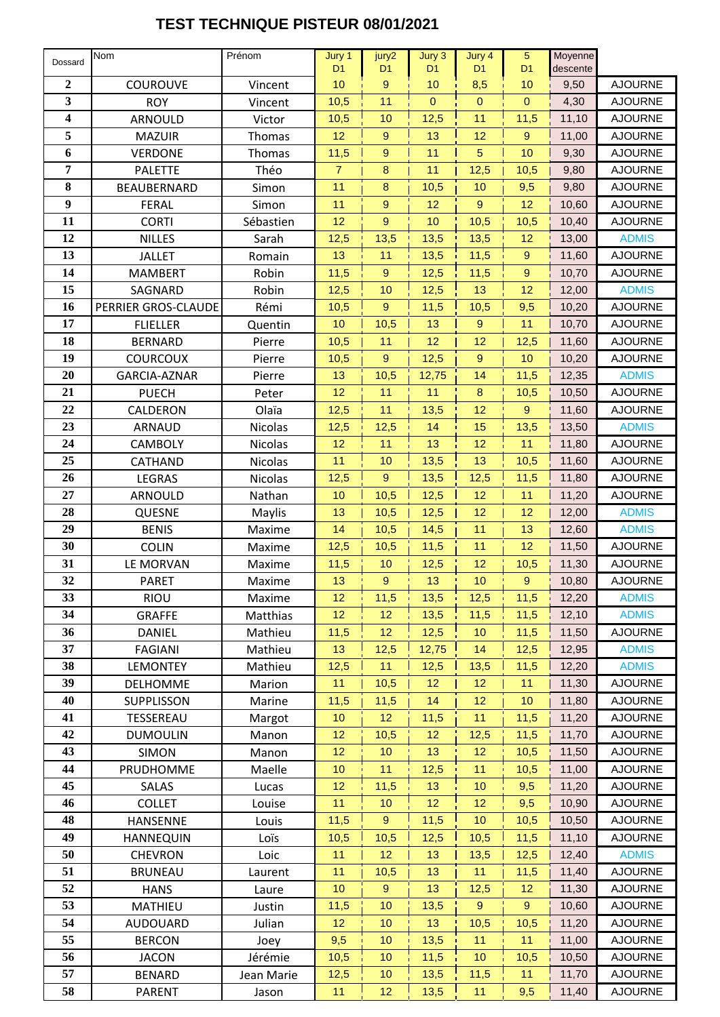## **TEST TECHNIQUE PISTEUR 08/01/2021**

| Dossard          | Nom                 | Prénom         | Jury 1          | jury2            | Jury 3         | Jury 4           | $\overline{5}$   | Moyenne  |                |
|------------------|---------------------|----------------|-----------------|------------------|----------------|------------------|------------------|----------|----------------|
|                  |                     |                | D <sub>1</sub>  | D <sub>1</sub>   | D <sub>1</sub> | D <sub>1</sub>   | D <sub>1</sub>   | descente |                |
| $\boldsymbol{2}$ | <b>COUROUVE</b>     | Vincent        | 10              | $\boldsymbol{9}$ | 10             | 8,5              | 10               | 9,50     | <b>AJOURNE</b> |
| 3                | <b>ROY</b>          | Vincent        | 10,5            | 11               | $\mathbf 0$    | $\mathbf{0}$     | $\mathbf{0}$     | 4,30     | <b>AJOURNE</b> |
| 4                | ARNOULD             | Victor         | 10,5            | 10               | 12,5           | 11               | 11,5             | 11,10    | <b>AJOURNE</b> |
| 5                | <b>MAZUIR</b>       | Thomas         | 12              | $\boldsymbol{9}$ | 13             | 12               | 9                | 11,00    | <b>AJOURNE</b> |
| 6                | <b>VERDONE</b>      | Thomas         | 11,5            | $\boldsymbol{9}$ | 11             | $\overline{5}$   | 10               | 9,30     | <b>AJOURNE</b> |
| 7                | <b>PALETTE</b>      | Théo           | $\overline{7}$  | 8                | 11             | 12,5             | 10,5             | 9,80     | <b>AJOURNE</b> |
| 8                | BEAUBERNARD         | Simon          | 11              | 8                | 10,5           | 10               | 9,5              | 9,80     | <b>AJOURNE</b> |
| 9                | <b>FERAL</b>        | Simon          | 11              | 9                | 12             | $\boldsymbol{9}$ | 12               | 10,60    | <b>AJOURNE</b> |
| 11               | <b>CORTI</b>        | Sébastien      | 12              | $\mathsf g$      | 10             | 10,5             | 10,5             | 10,40    | <b>AJOURNE</b> |
| 12               | <b>NILLES</b>       | Sarah          | 12,5            | 13,5             | 13,5           | 13,5             | 12               | 13,00    | <b>ADMIS</b>   |
| 13               | <b>JALLET</b>       | Romain         | 13              | 11               | 13,5           | 11,5             | $\boldsymbol{9}$ | 11,60    | <b>AJOURNE</b> |
| 14               | <b>MAMBERT</b>      | Robin          | 11,5            | $\boldsymbol{9}$ | 12,5           | 11,5             | $\boldsymbol{9}$ | 10,70    | <b>AJOURNE</b> |
| 15               | SAGNARD             | Robin          | 12,5            | 10               | 12,5           | 13               | 12               | 12,00    | <b>ADMIS</b>   |
| 16               | PERRIER GROS-CLAUDE | Rémi           | 10,5            | 9                | 11,5           | 10,5             | 9,5              | 10,20    | <b>AJOURNE</b> |
| 17               | <b>FLIELLER</b>     | Quentin        | 10              | 10,5             | 13             | $\boldsymbol{9}$ | 11               | 10,70    | <b>AJOURNE</b> |
| 18               | <b>BERNARD</b>      | Pierre         | 10,5            | 11               | 12             | 12               | 12,5             | 11,60    | <b>AJOURNE</b> |
| 19               | <b>COURCOUX</b>     | Pierre         | 10,5            | 9                | 12,5           | $\boldsymbol{9}$ | 10               | 10,20    | <b>AJOURNE</b> |
| 20               | GARCIA-AZNAR        | Pierre         | 13              | 10,5             | 12,75          | 14               | 11,5             | 12,35    | <b>ADMIS</b>   |
| 21               | <b>PUECH</b>        | Peter          | 12              | 11               | 11             | $\bf 8$          | 10,5             | 10,50    | <b>AJOURNE</b> |
| 22               | CALDERON            | Olaïa          | 12,5            | 11               | 13,5           | 12               | $\mathsf g$      | 11,60    | <b>AJOURNE</b> |
| 23               | ARNAUD              | Nicolas        | 12,5            | 12,5             | 14             | 15               | 13,5             | 13,50    | <b>ADMIS</b>   |
| 24               | CAMBOLY             | <b>Nicolas</b> | 12              | 11               | 13             | 12               | 11               | 11,80    | <b>AJOURNE</b> |
| 25               | CATHAND             | Nicolas        | 11              | 10               | 13,5           | 13               | 10,5             | 11,60    | <b>AJOURNE</b> |
| 26               | LEGRAS              | Nicolas        | 12,5            | 9                | 13,5           | 12,5             | 11,5             | 11,80    | <b>AJOURNE</b> |
| 27               | ARNOULD             | Nathan         | 10              | 10,5             | 12,5           | 12               | 11               | 11,20    | <b>AJOURNE</b> |
| 28               | QUESNE              | Maylis         | 13              | 10,5             | 12,5           | 12               | 12               | 12,00    | <b>ADMIS</b>   |
| 29               | <b>BENIS</b>        | Maxime         | 14              | 10,5             | 14,5           | 11               | 13               | 12,60    | <b>ADMIS</b>   |
| 30               | <b>COLIN</b>        | Maxime         | 12,5            | 10,5             | 11,5           | 11               | 12               | 11,50    | <b>AJOURNE</b> |
| 31               | LE MORVAN           | Maxime         | 11,5            | 10               | 12,5           | 12               | 10,5             | 11,30    | <b>AJOURNE</b> |
| 32               | <b>PARET</b>        | Maxime         | 13              | $\boldsymbol{9}$ | 13             | 10               | $\mathsf g$      | 10,80    | <b>AJOURNE</b> |
| 33               | <b>RIOU</b>         | Maxime         | 12 <sup>2</sup> | 11,5             | 13,5           | 12,5             | 11,5             | 12,20    | <b>ADMIS</b>   |
| 34               | <b>GRAFFE</b>       | Matthias       | 12              | 12               | 13,5           | 11,5             | 11,5             | 12,10    | <b>ADMIS</b>   |
| 36               | <b>DANIEL</b>       | Mathieu        | 11,5            | 12               | 12,5           | 10 <sub>1</sub>  | 11,5             | 11,50    | <b>AJOURNE</b> |
| 37               | <b>FAGIANI</b>      | Mathieu        | 13              | 12,5             | 12,75          | 14               | 12,5             | 12,95    | <b>ADMIS</b>   |
| 38               | <b>LEMONTEY</b>     | Mathieu        | 12,5            | 11               | 12,5           | 13,5             | 11,5             | 12,20    | <b>ADMIS</b>   |
| 39               | <b>DELHOMME</b>     | Marion         | 11              | 10,5             | 12             | 12               | 11               | 11,30    | <b>AJOURNE</b> |
| 40               | <b>SUPPLISSON</b>   | Marine         | 11,5            | 11,5             | 14             | 12               | 10               | 11,80    | <b>AJOURNE</b> |
| 41               | TESSEREAU           | Margot         | 10              | 12               | 11,5           | 11               | 11,5             | 11,20    | <b>AJOURNE</b> |
| 42               | <b>DUMOULIN</b>     | Manon          | 12              | 10,5             | 12             | 12,5             | 11,5             | 11,70    | <b>AJOURNE</b> |
| 43               | <b>SIMON</b>        | Manon          | 12              | 10               | 13             | 12 <sub>2</sub>  | 10,5             | 11,50    | <b>AJOURNE</b> |
| 44               | PRUDHOMME           | Maelle         | 10              | 11               | 12,5           | 11               | 10,5             | 11,00    | <b>AJOURNE</b> |
| 45               | SALAS               | Lucas          | 12              | 11,5             | 13             | 10               | 9,5              | 11,20    | <b>AJOURNE</b> |
| 46               | <b>COLLET</b>       | Louise         | 11              | 10               | 12             | 12               | 9,5              | 10,90    | <b>AJOURNE</b> |
| 48               | <b>HANSENNE</b>     | Louis          | 11,5            | 9 <sup>°</sup>   | 11,5           | 10               | 10,5             | 10,50    | <b>AJOURNE</b> |
| 49               | <b>HANNEQUIN</b>    | Loïs           | 10,5            | 10,5             | 12,5           | 10,5             | 11,5             | 11,10    | <b>AJOURNE</b> |
| 50               | <b>CHEVRON</b>      | Loic           | 11              | 12               | 13             | 13,5             | 12,5             | 12,40    | <b>ADMIS</b>   |
| 51               | <b>BRUNEAU</b>      | Laurent        | 11              | 10,5             | 13             | 11               | 11,5             | 11,40    | <b>AJOURNE</b> |
| 52               | <b>HANS</b>         | Laure          | 10              | 9                | 13             | 12,5             | 12               | 11,30    | <b>AJOURNE</b> |
| 53               | <b>MATHIEU</b>      | Justin         | 11,5            | 10               | 13,5           | 9                | 9                | 10,60    | <b>AJOURNE</b> |
| 54               | AUDOUARD            | Julian         | 12              | 10               | 13             | 10,5             | 10,5             | 11,20    | <b>AJOURNE</b> |
| 55               | <b>BERCON</b>       | Joey           | 9,5             | 10               | 13,5           | 11               | 11               | 11,00    | <b>AJOURNE</b> |
| 56               | <b>JACON</b>        | Jérémie        | 10,5            | 10               | 11,5           | 10               | 10,5             | 10,50    | <b>AJOURNE</b> |
| 57               | <b>BENARD</b>       | Jean Marie     | 12,5            | 10               | 13,5           | 11,5             | 11               | 11,70    | <b>AJOURNE</b> |
| 58               | PARENT              | Jason          | 11              | 12               | 13,5           | 11               | 9,5              | 11,40    | <b>AJOURNE</b> |